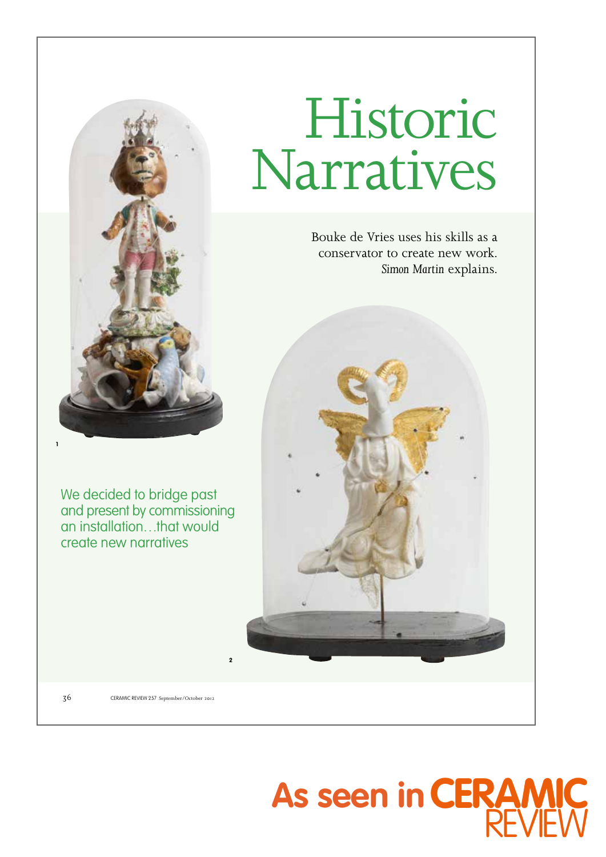

We decided to bridge past and present by commissioning an installation…that would create new narratives

## Historic Narratives

Bouke de Vries uses his skills as a conservator to create new work. *Simon Martin* explains.



36 CERAMIC REVIEW 257 September/October <sup>2012</sup>

**2**

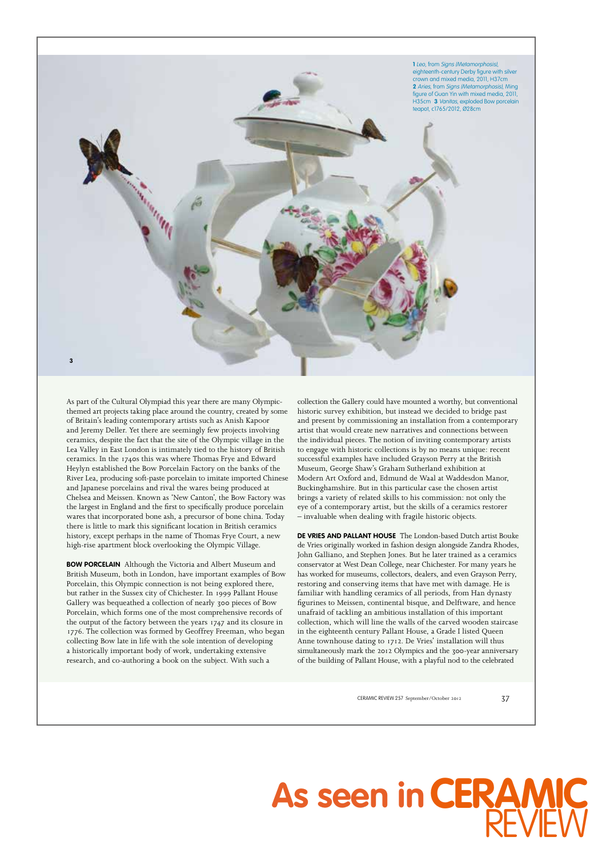

As part of the Cultural Olympiad this year there are many Olympicthemed art projects taking place around the country, created by some of Britain's leading contemporary artists such as Anish Kapoor and Jeremy Deller. Yet there are seemingly few projects involving ceramics, despite the fact that the site of the Olympic village in the Lea Valley in East London is intimately tied to the history of British ceramics. In the 1740s this was where Thomas Frye and Edward Heylyn established the Bow Porcelain Factory on the banks of the River Lea, producing soft-paste porcelain to imitate imported Chinese and Japanese porcelains and rival the wares being produced at Chelsea and Meissen. Known as 'New Canton', the Bow Factory was the largest in England and the first to specifically produce porcelain wares that incorporated bone ash, a precursor of bone china. Today there is little to mark this significant location in British ceramics history, except perhaps in the name of Thomas Frye Court, a new high-rise apartment block overlooking the Olympic Village.

**BOW PORCELAIN** Although the Victoria and Albert Museum and British Museum, both in London, have important examples of Bow Porcelain, this Olympic connection is not being explored there, but rather in the Sussex city of Chichester. In 1999 Pallant House Gallery was bequeathed a collection of nearly 300 pieces of Bow Porcelain, which forms one of the most comprehensive records of the output of the factory between the years 1747 and its closure in 1776. The collection was formed by Geoffrey Freeman, who began collecting Bow late in life with the sole intention of developing a historically important body of work, undertaking extensive research, and co-authoring a book on the subject. With such a

collection the Gallery could have mounted a worthy, but conventional historic survey exhibition, but instead we decided to bridge past and present by commissioning an installation from a contemporary artist that would create new narratives and connections between the individual pieces. The notion of inviting contemporary artists to engage with historic collections is by no means unique: recent successful examples have included Grayson Perry at the British Museum, George Shaw's Graham Sutherland exhibition at Modern Art Oxford and, Edmund de Waal at Waddesdon Manor, Buckinghamshire. But in this particular case the chosen artist brings a variety of related skills to his commission: not only the eye of a contemporary artist, but the skills of a ceramics restorer – invaluable when dealing with fragile historic objects.

**DE VRIES AND PALLANT HOUSE** The London-based Dutch artist Bouke de Vries originally worked in fashion design alongside Zandra Rhodes, John Galliano, and Stephen Jones. But he later trained as a ceramics conservator at West Dean College, near Chichester. For many years he has worked for museums, collectors, dealers, and even Grayson Perry, restoring and conserving items that have met with damage. He is familiar with handling ceramics of all periods, from Han dynasty figurines to Meissen, continental bisque, and Delftware, and hence unafraid of tackling an ambitious installation of this important collection, which will line the walls of the carved wooden staircase in the eighteenth century Pallant House, a Grade I listed Queen Anne townhouse dating to 1712. De Vries' installation will thus simultaneously mark the 2012 Olympics and the 300-year anniversary of the building of Pallant House, with a playful nod to the celebrated

CERAMIC REVIEW 257 September/October 2012 37

## As seen in **CERAMIC** REV**IEW**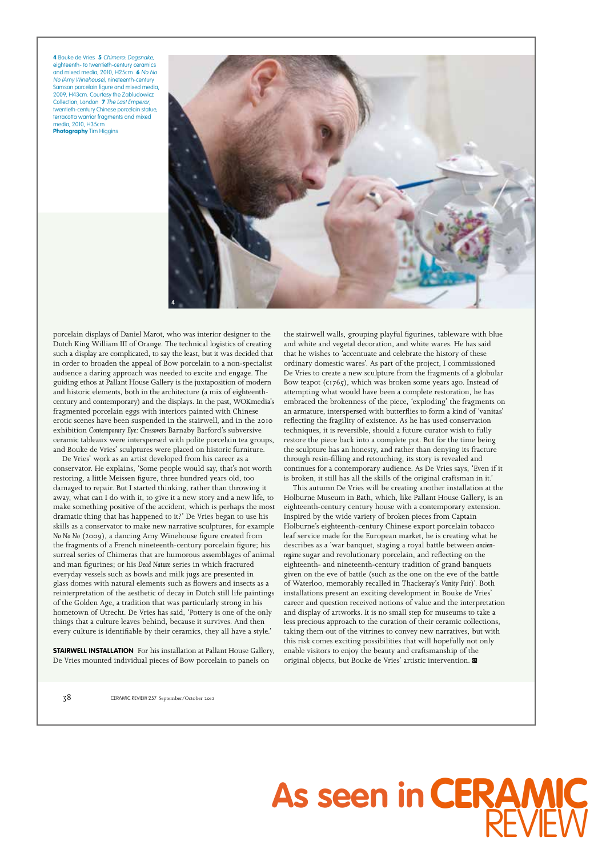**4** Bouke de Vries **5** Chimera: Dogsnake, eighteenth- to twentieth-century ceramics and mixed media, 2010, H25cm **6** No No No (Amy Winehouse), nineteenth-century Samson porcelain figure and mixed media, 2009, H43cm. Courtesy the Zabludowicz Collection, London **7** The Last Emperor, twentieth-century Chinese porcelain statue, terracotta warrior fragments and mixed media, 2010, H35cm **Photography** Tim Higgins



porcelain displays of Daniel Marot, who was interior designer to the Dutch King William III of Orange. The technical logistics of creating such a display are complicated, to say the least, but it was decided that in order to broaden the appeal of Bow porcelain to a non-specialist audience a daring approach was needed to excite and engage. The guiding ethos at Pallant House Gallery is the juxtaposition of modern and historic elements, both in the architecture (a mix of eighteenthcentury and contemporary) and the displays. In the past, WOKmedia's fragmented porcelain eggs with interiors painted with Chinese erotic scenes have been suspended in the stairwell, and in the 2010 exhibition *Contemporary Eye: Crossovers* Barnaby Barford's subversive ceramic tableaux were interspersed with polite porcelain tea groups, and Bouke de Vries' sculptures were placed on historic furniture.

De Vries' work as an artist developed from his career as a conservator. He explains, 'Some people would say, that's not worth restoring, a little Meissen figure, three hundred years old, too damaged to repair. But I started thinking, rather than throwing it away, what can I do with it, to give it a new story and a new life, to make something positive of the accident, which is perhaps the most dramatic thing that has happened to it?' De Vries began to use his skills as a conservator to make new narrative sculptures, for example *No No No* (2009), a dancing Amy Winehouse figure created from the fragments of a French nineteenth-century porcelain figure; his surreal series of Chimeras that are humorous assemblages of animal and man figurines; or his *Dead Nature* series in which fractured everyday vessels such as bowls and milk jugs are presented in glass domes with natural elements such as flowers and insects as a reinterpretation of the aesthetic of decay in Dutch still life paintings of the Golden Age, a tradition that was particularly strong in his hometown of Utrecht. De Vries has said, 'Pottery is one of the only things that a culture leaves behind, because it survives. And then every culture is identifiable by their ceramics, they all have a style.'

**STAIRWELL INSTALLATION** For his installation at Pallant House Gallery, De Vries mounted individual pieces of Bow porcelain to panels on

the stairwell walls, grouping playful figurines, tableware with blue and white and vegetal decoration, and white wares. He has said that he wishes to 'accentuate and celebrate the history of these ordinary domestic wares'. As part of the project, I commissioned De Vries to create a new sculpture from the fragments of a globular Bow teapot ( $c1765$ ), which was broken some years ago. Instead of attempting what would have been a complete restoration, he has embraced the brokenness of the piece, 'exploding' the fragments on an armature, interspersed with butterflies to form a kind of 'vanitas' reflecting the fragility of existence. As he has used conservation techniques, it is reversible, should a future curator wish to fully restore the piece back into a complete pot. But for the time being the sculpture has an honesty, and rather than denying its fracture through resin-filling and retouching, its story is revealed and continues for a contemporary audience. As De Vries says, 'Even if it is broken, it still has all the skills of the original craftsman in it.'

This autumn De Vries will be creating another installation at the Holburne Museum in Bath, which, like Pallant House Gallery, is an eighteenth-century century house with a contemporary extension. Inspired by the wide variety of broken pieces from Captain Holburne's eighteenth-century Chinese export porcelain tobacco leaf service made for the European market, he is creating what he describes as a 'war banquet, staging a royal battle between *ancienregime* sugar and revolutionary porcelain, and reflecting on the eighteenth- and nineteenth-century tradition of grand banquets given on the eve of battle (such as the one on the eve of the battle of Waterloo, memorably recalled in Thackeray's *Vanity Fair*)'. Both installations present an exciting development in Bouke de Vries' career and question received notions of value and the interpretation and display of artworks. It is no small step for museums to take a less precious approach to the curation of their ceramic collections, taking them out of the vitrines to convey new narratives, but with this risk comes exciting possibilities that will hopefully not only enable visitors to enjoy the beauty and craftsmanship of the original objects, but Bouke de Vries' artistic intervention.

**As seen in**

**CERAMIC**

REV

**IEW** 

38 CERAMIC REVIEW 257 September/October <sup>2012</sup>